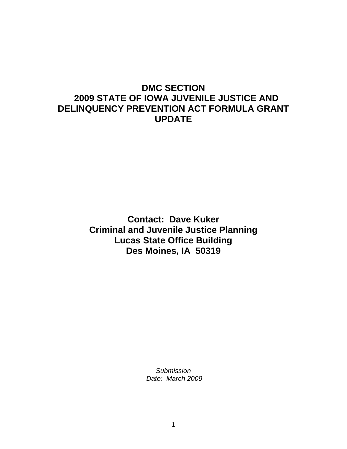# **DMC SECTION 2009 STATE OF IOWA JUVENILE JUSTICE AND DELINQUENCY PREVENTION ACT FORMULA GRANT UPDATE**

**Contact: Dave Kuker Criminal and Juvenile Justice Planning Lucas State Office Building Des Moines, IA 50319**

> *Submission Date: March 2009*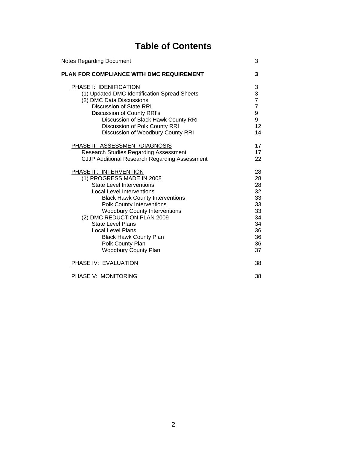# **Table of Contents**

| <b>Notes Regarding Document</b>                                                                                                                                                                                                                                                                                                                                                                                                      | 3                                                                          |
|--------------------------------------------------------------------------------------------------------------------------------------------------------------------------------------------------------------------------------------------------------------------------------------------------------------------------------------------------------------------------------------------------------------------------------------|----------------------------------------------------------------------------|
| <b>PLAN FOR COMPLIANCE WITH DMC REQUIREMENT</b>                                                                                                                                                                                                                                                                                                                                                                                      | 3                                                                          |
| PHASE I: IDENIFICATION<br>(1) Updated DMC Identification Spread Sheets<br>(2) DMC Data Discussions<br><b>Discussion of State RRI</b><br>Discussion of County RRI's<br>Discussion of Black Hawk County RRI<br>Discussion of Polk County RRI<br>Discussion of Woodbury County RRI                                                                                                                                                      | 3<br>$\frac{3}{7}$<br>$\overline{7}$<br>9<br>9<br>12<br>14                 |
| PHASE II: ASSESSMENT/DIAGNOSIS<br><b>Research Studies Regarding Assessment</b><br><b>CJJP Additional Research Regarding Assessment</b>                                                                                                                                                                                                                                                                                               | 17<br>17<br>22                                                             |
| <b>PHASE III: INTERVENTION</b><br>(1) PROGRESS MADE IN 2008<br><b>State Level Interventions</b><br><b>Local Level Interventions</b><br><b>Black Hawk County Interventions</b><br><b>Polk County Interventions</b><br><b>Woodbury County Interventions</b><br>(2) DMC REDUCTION PLAN 2009<br><b>State Level Plans</b><br><b>Local Level Plans</b><br><b>Black Hawk County Plan</b><br>Polk County Plan<br><b>Woodbury County Plan</b> | 28<br>28<br>28<br>32<br>33<br>33<br>33<br>34<br>34<br>36<br>36<br>36<br>37 |
| PHASE IV: EVALUATION                                                                                                                                                                                                                                                                                                                                                                                                                 | 38                                                                         |
| <b>PHASE V: MONITORING</b>                                                                                                                                                                                                                                                                                                                                                                                                           | 38                                                                         |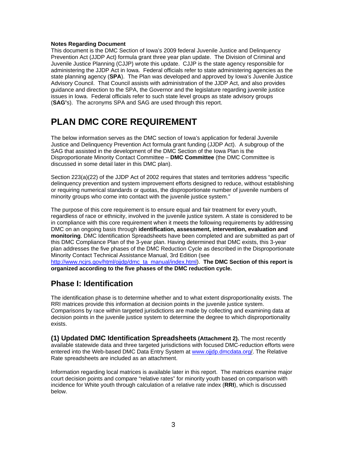#### **Notes Regarding Document**

This document is the DMC Section of Iowa's 2009 federal Juvenile Justice and Delinquency Prevention Act (JJDP Act) formula grant three year plan update. The Division of Criminal and Juvenile Justice Planning (CJJP) wrote this update. CJJP is the state agency responsible for administering the JJDP Act in Iowa. Federal officials refer to state administering agencies as the state planning agency (**SPA**). The Plan was developed and approved by Iowa's Juvenile Justice Advisory Council. That Council assists with administration of the JJDP Act, and also provides guidance and direction to the SPA, the Governor and the legislature regarding juvenile justice issues in Iowa. Federal officials refer to such state level groups as state advisory groups (**SAG'**s). The acronyms SPA and SAG are used through this report.

# **PLAN DMC CORE REQUIREMENT**

The below information serves as the DMC section of Iowa's application for federal Juvenile Justice and Delinquency Prevention Act formula grant funding (JJDP Act). A subgroup of the SAG that assisted in the development of the DMC Section of the Iowa Plan is the Disproportionate Minority Contact Committee – **DMC Committee** (the DMC Committee is discussed in some detail later in this DMC plan).

Section 223(a)(22) of the JJDP Act of 2002 requires that states and territories address "specific delinquency prevention and system improvement efforts designed to reduce, without establishing or requiring numerical standards or quotas, the disproportionate number of juvenile numbers of minority groups who come into contact with the juvenile justice system."

The purpose of this core requirement is to ensure equal and fair treatment for every youth, regardless of race or ethnicity, involved in the juvenile justice system. A state is considered to be in compliance with this core requirement when it meets the following requirements by addressing DMC on an ongoing basis through **identification, assessment, intervention, evaluation and monitoring**. DMC Identification Spreadsheets have been completed and are submitted as part of this DMC Compliance Plan of the 3-year plan. Having determined that DMC exists, this 3-year plan addresses the five phases of the DMC Reduction Cycle as described in the Disproportionate Minority Contact Technical Assistance Manual, 3rd Edition (see [http://www.ncjrs.gov/html/ojjdp/dmc\\_ta\\_manual/index.html\).](http://www.ncjrs.gov/html/ojjdp/dmc_ta_manual/index.html) **The DMC Section of this report is organized according to the five phases of the DMC reduction cycle.**

# **Phase I: Identification**

The identification phase is to determine whether and to what extent disproportionality exists. The RRI matrices provide this information at decision points in the juvenile justice system. Comparisons by race within targeted jurisdictions are made by collecting and examining data at decision points in the juvenile justice system to determine the degree to which disproportionality exists.

**(1) Updated DMC Identification Spreadsheets (Attachment 2).** The most recently available statewide data and three targeted jurisdictions with focused DMC-reduction efforts were entered into the Web-based DMC Data Entry System at [www.ojjdp.dmcdata.org/. T](www.ojjdp.dmcdata.org)he Relative Rate spreadsheets are included as an attachment.

Information regarding local matrices is available later in this report. The matrices examine major court decision points and compare "relative rates" for minority youth based on comparison with incidence for White youth through calculation of a relative rate index (**RRI**), which is discussed below.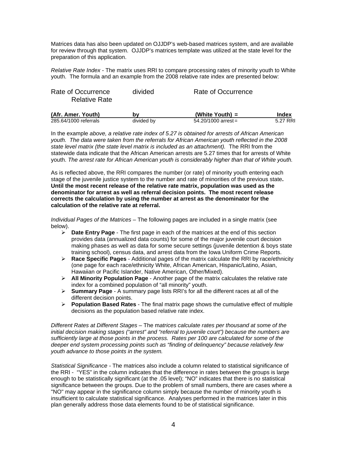Matrices data has also been updated on OJJDP's web-based matrices system, and are available for review through that system. OJJDP's matrices template was utilized at the state level for the preparation of this application.

*Relative Rate Index* - The matrix uses RRI to compare processing rates of minority youth to White youth. The formula and an example from the 2008 relative rate index are presented below:

| (Afr Amer Vouth)                           | hw      | $(Mh$ ita Vouth $)$ – | Indav |
|--------------------------------------------|---------|-----------------------|-------|
| Rate of Occurrence<br><b>Relative Rate</b> | divided | Rate of Occurrence    |       |

| (Afr. Amer. Youth)    | b٧         | (White Youth) $=$     | Index    |
|-----------------------|------------|-----------------------|----------|
| 285.64/1000 referrals | divided by | $54.20/1000$ arrest = | 5.27 RRI |

In the example *above, a relative rate index of 5.27 is obtained for arrests of African American youth. The data were taken from the referrals for African American youth reflected in the 2008*  state level matrix (the state level matrix is included as an attachment). The RRI from the statewide data indicate that the African American arrests are 5.27 times that for arrests of White youth. *The arrest rate for African American youth is considerably higher than that of White youth.* 

As is reflected above, the RRI compares the number (or rate) of minority youth entering each stage of the juvenile justice system to the number and rate of minorities of the previous state**. Until the most recent release of the relative rate matrix, population was used as the denominator for arrest as well as referral decision points. The most recent release corrects the calculation by using the number at arrest as the denominator for the calculation of the relative rate at referral.** 

*Individual Pages of the Matrices* – The following pages are included in a single matrix (see below).

- ¾ **Date Entry Page** The first page in each of the matrices at the end of this section provides data (annualized data counts) for some of the major juvenile court decision making phases as well as data for some secure settings (juvenile detention & boys state training school), census data, and arrest data from the Iowa Uniform Crime Reports.
- ¾ **Race Specific Pages** Additional pages of the matrix calculate the RRI by race/ethnicity (one page for each race/ethnicity White, African American, Hispanic/Latino, Asian, Hawaiian or Pacific Islander, Native American, Other/Mixed).
- ¾ **All Minority Population Page** Another page of the matrix calculates the relative rate index for a combined population of "all minority" youth.
- ¾ **Summary Page** A summary page lists RRI's for all the different races at all of the different decision points.
- ¾ **Population Based Rates** The final matrix page shows the cumulative effect of multiple decisions as the population based relative rate index.

*Different Rates at Different Stages* – The m*atrices calculate rates per thousand at some of the initial decision making stages ("arrest" and "referral to juvenile court") because the numbers are sufficiently large at those points in the process. Rates per 100 are calculated for some of the deeper end system processing points such as "finding of delinquency" because relatively few youth advance to those points in the system.* 

*Statistical Significance -* The matrices also include a column related to statistical significance of the RRI - "YES" in the column indicates that the difference in rates between the groups is large enough to be statistically significant (at the .05 level); "NO" indicates that there is no statistical significance between the groups. Due to the problem of small numbers, there are cases where a "NO" may appear in the significance column simply because the number of minority youth is insufficient to calculate statistical significance. Analyses performed in the matrices later in this plan generally address those data elements found to be of statistical significance.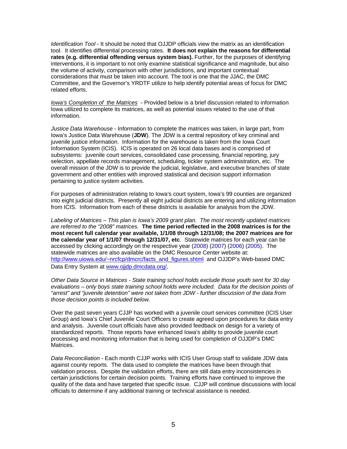*Identification Tool* - It should be noted that OJJDP officials view the matrix as an identification tool. It identifies differential processing rates. **It does not explain the reasons for differential rates (e.g. differential offending versus system bias).** Further, for the purposes of identifying interventions, it is important to not only examine statistical significance and magnitude, but also the volume of activity, comparison with other jurisdictions, and important contextual considerations that must be taken into account. The tool is one that the JJAC, the DMC Committee, and the Governor's YRDTF utilize to help identify potential areas of focus for DMC related efforts.

*Iowa's Completion of the Matrices* - Provided below is a brief discussion related to information Iowa utilized to complete its matrices, as well as potential issues related to the use of that information.

*Justice Data Warehouse* - Information to complete the matrices was taken, in large part, from Iowa's Justice Data Warehouse (**JDW**). The JDW is a central repository of key criminal and juvenile justice information. Information for the warehouse is taken from the Iowa Court Information System (ICIS). ICIS is operated on 26 local data bases and is comprised of subsystems: juvenile court services, consolidated case processing, financial reporting, jury selection, appellate records management, scheduling, tickler system administration, etc. The overall mission of the JDW is to provide the judicial, legislative, and executive branches of state government and other entities with improved statistical and decision support information pertaining to justice system activities.

For purposes of administration relating to Iowa's court system, Iowa's 99 counties are organized into eight judicial districts. Presently all eight judicial districts are entering and utilizing information from ICIS. Information from each of these districts is available for analysis from the JDW.

*Labeling of Matrices – This plan is Iowa's 2009 grant plan. The most recently updated matrices are referred to the "2008" matrices.* **The time period reflected in the 2008 matrices is for the most recent full calendar year available, 1/1/08 through 12/31/08; the 2007 matrices are for the calendar year of 1/1/07 through 12/31/07, etc**. Statewide matrices for each year can be accessed by clicking accordingly on the respective year (2008) (2007) (2006) (2005). The statewide matrices are also available on the DMC Resource Center website at: http://www.uiowa.edu/~nrcfcp/dmcrc/facts\_and\_figures.shtml\_and OJJDP's Web-based DMC Data Entry System at www.oiidp.dmcdata.org/.

*Other Data Source in Matrices - State training school holds exclude those youth sent for 30 day evaluations – only boys state training school holds were included. Data for the decision points of "arrest" and "juvenile detention" were not taken from JDW - further discussion of the data from those decision points is included below.* 

Over the past seven years CJJP has worked with a juvenile court services committee (ICIS User Group) and Iowa's Chief Juvenile Court Officers to create agreed upon procedures for data entry and analysis. Juvenile court officials have also provided feedback on design for a variety of standardized reports. Those reports have enhanced Iowa's ability to provide juvenile court processing and monitoring information that is being used for completion of OJJDP's DMC Matrices.

*Data Reconciliation -* Each month CJJP works with ICIS User Group staff to validate JDW data against county reports. The data used to complete the matrices have been through that validation process. Despite the validation efforts, there are still data entry inconsistencies in certain jurisdictions for certain decision points.Training efforts have continued to improve the quality of the data and have targeted that specific issue. CJJP will continue discussions with local officials to determine if any additional training or technical assistance is needed.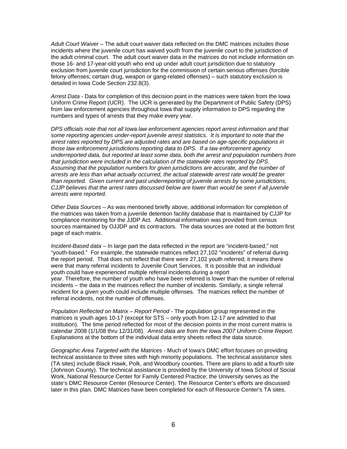*Adult Court Waiver* – The adult court waiver data reflected on the DMC matrices includes those incidents where the juvenile court has waived youth from the juvenile court to the jurisdiction of the adult criminal court. The adult court waiver data in the matrices do not include information on those 16- and 17-year-old youth who end up under adult court jurisdiction due to statutory exclusion from juvenile court jurisdiction for the commission of certain serious offenses (forcible felony offenses; certain drug, weapon or gang-related offenses) – such statutory exclusion is detailed in Iowa Code Section 232.8(3).

*Arrest Data -* Data for completion of this decision point in the matrices were taken from the Iowa Uniform Crime Report (UCR). The UCR is generated by the Department of Public Safety (DPS) from law enforcement agencies throughout Iowa that supply information to DPS regarding the numbers and types of arrests that they make every year.

*DPS officials note that not all Iowa law enforcement agencies report arrest information and that some reporting agencies under-report juvenile arrest statistics. It is important to note that the arrest rates reported by DPS are adjusted rates and are based on age-specific populations in those law enforcement jurisdictions reporting data to DPS. If a law enforcement agency underreported data, but reported at least some data, both the arrest and population numbers from that jurisdiction were included in the calculation of the statewide rates reported by DPS. Assuming that the population numbers for given jurisdictions are accurate, and the number of arrests are less than what actually occurred, the actual statewide arrest rate would be greater than reported. Given current and past underreporting of juvenile arrests by some jurisdictions, CJJP believes that the arrest rates discussed below are lower than would be seen if all juvenile arrests were reported.* 

*Other Data Sources* – As was mentioned briefly above, additional information for completion of the matrices was taken from a juvenile detention facility database that is maintained by CJJP for compliance monitoring for the JJDP Act. Additional information was provided from census sources maintained by OJJDP and its contractors. The data sources are noted at the bottom first page of each matrix.

*Incident-Based data* – In large part the data reflected in the report are "incident-based," not "youth-based." For example, the statewide matrices reflect 27,102 "incidents" of referral during the report period. That does not reflect that there were 27,102 youth referred; it means there were that many referral incidents to Juvenile Court Services. It is possible that an individual youth could have experienced multiple referral incidents during a report year. Therefore, the number of youth who have been referred is lower than the number of referral incidents – the data in the matrices reflect the number of incidents. Similarly, a single referral incident for a given youth could include multiple offenses. The matrices reflect the number of referral incidents, not the number of offenses.

*Population Reflected on Matrix – Report Period* - The population group represented in the matrices is youth ages 10-17 (except for STS – only youth from 12-17 are admitted to that institution). The time period reflected for most of the decision points in the most current matrix is calendar 2008 (1/1/08 thru 12/31/08). *Arrest data are from the Iowa 2007 Uniform Crime Report.*  Explanations at the bottom of the individual data entry sheets reflect the data source.

*Geographic Area Targeted with the Matrices* - Much of Iowa's DMC effort focuses on providing technical assistance to three sites with high minority populations. The technical assistance sites (TA sites) include Black Hawk, Polk, and Woodbury counties. There are plans to add a fourth site (Johnson County). The technical assistance is provided by the University of Iowa School of Social Work, National Resource Center for Family Centered Practice; the University serves as the state's DMC Resource Center (Resource Center). The Resource Center's efforts are discussed later in this plan. DMC Matrices have been completed for each of Resource Center's TA sites.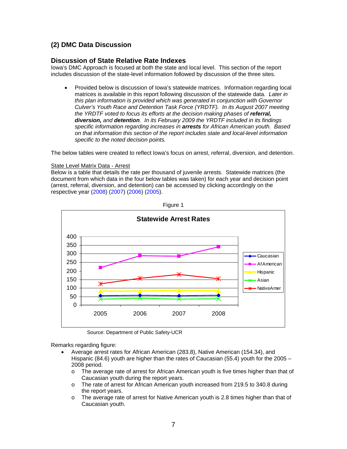## **(2) DMC Data Discussion**

## **Discussion of State Relative Rate Indexes**

Iowa's DMC Approach is focused at both the state and local level. This section of the report includes discussion of the state-level information followed by discussion of the three sites.

• Provided below is discussion of lowa's statewide matrices. Information regarding local matrices is available in this report following discussion of the statewide data. *Later in this plan information is provided which was generated in conjunction with Governor Culver's Youth Race and Detention Task Force (YRDTF). In its August 2007 meeting the YRDTF voted to focus its efforts at the decision making phases of <i>referral. diversion, and detention. In its February 2009 the YRDTF included in its findings specific information regarding increases in arrests for African American youth. Based on that information this section of the report includes state and local-level information specific to the noted decision points.*

The below tables were created to reflect Iowa's focus on arrest, referral, diversion, and detention.

#### State Level Matrix Data - Arrest

Below is a table that details the rate per thousand of juvenile arrests. Statewide matrices (the document from which data in the four below tables was taken) for each year and decision point (arrest, referral, diversion, and detention) can be accessed by clicking accordingly on the respective year (2008) (2007) (2006) (2005).





Source: Department of Public Safety-UCR

Remarks regarding figure:

- Average arrest rates for African American (283.8), Native American (154.34), and Hispanic (84.6) youth are higher than the rates of Caucasian (55.4) youth for the 2005 – 2008 period.
	- o The average rate of arrest for African American youth is five times higher than that of Caucasian youth during the report years.
	- o The rate of arrest for African American youth increased from 219.5 to 340.8 during the report years.
	- o The average rate of arrest for Native American youth is 2.8 times higher than that of Caucasian youth.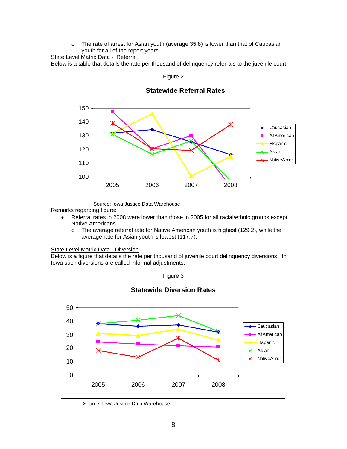o The rate of arrest for Asian youth (average 35.8) is lower than that of Caucasian youth for all of the report years.

#### State Level Matrix Data - Referral

Below is a table that details the rate per thousand of delinquency referrals to the juvenile court.



Source: Iowa Justice Data Warehouse

Remarks regarding figure:

- Referral rates in 2008 were lower than those in 2005 for all racial/ethnic groups except Native Americans.
	- $\circ$  The average referral rate for Native American youth is highest (129.2), while the average rate for Asian youth is lowest (117.7).

#### State Level Matrix Data - Diversion

Below is a figure that details the rate per thousand of juvenile court delinquency diversions. In Iowa such diversions are called informal adjustments.

![](_page_7_Figure_10.jpeg)

![](_page_7_Figure_11.jpeg)

Source: Iowa Justice Data Warehouse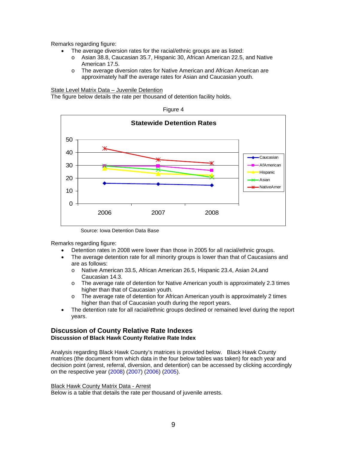- The average diversion rates for the racial/ethnic groups are as listed:
	- o Asian 38.8, Caucasian 35.7, Hispanic 30, African American 22.5, and Native American 17.5.
	- o The average diversion rates for Native American and African American are approximately half the average rates for Asian and Caucasian youth.

#### State Level Matrix Data – Juvenile Detention

The figure below details the rate per thousand of detention facility holds.

![](_page_8_Figure_6.jpeg)

Source: Iowa Detention Data Base

Remarks regarding figure:

- Detention rates in 2008 were lower than those in 2005 for all racial/ethnic groups.
- The average detention rate for all minority groups is lower than that of Caucasians and are as follows:
	- o Native American 33.5, African American 26.5, Hispanic 23.4, Asian 24,and Caucasian 14.3.
	- o The average rate of detention for Native American youth is approximately 2.3 times higher than that of Caucasian youth.
	- o The average rate of detention for African American youth is approximately 2 times higher than that of Caucasian youth during the report years.
- The detention rate for all racial/ethnic groups declined or remained level during the report years.

## **Discussion of County Relative Rate Indexes Discussion of Black Hawk County Relative Rate Index**

Analysis regarding Black Hawk County's matrices is provided below. Black Hawk County matrices (the document from which data in the four below tables was taken) for each year and decision point (arrest, referral, diversion, and detention) can be accessed by clicking accordingly on the respective year (2008) (2007) (2006) (2005).

Black Hawk County Matrix Data - Arrest

Below is a table that details the rate per thousand of juvenile arrests.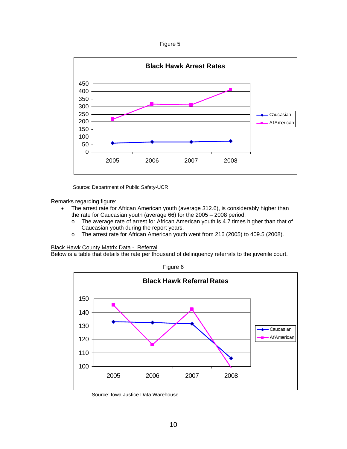Figure 5

![](_page_9_Figure_1.jpeg)

Source: Department of Public Safety-UCR

Remarks regarding figure:

- The arrest rate for African American youth (average 312.6), is considerably higher than the rate for Caucasian youth (average 66) for the 2005 – 2008 period.
	- o The average rate of arrest for African American youth is 4.7 times higher than that of Caucasian youth during the report years.
	- o The arrest rate for African American youth went from 216 (2005) to 409.5 (2008).

Black Hawk County Matrix Data - Referral

Below is a table that details the rate per thousand of delinquency referrals to the juvenile court.

![](_page_9_Figure_9.jpeg)

Source: Iowa Justice Data Warehouse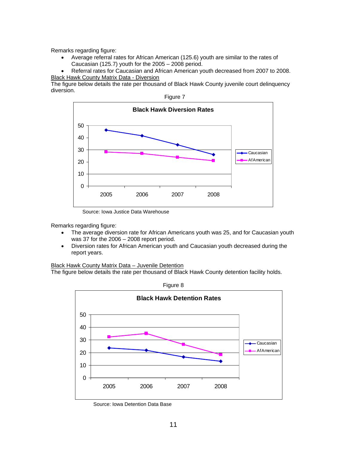• Average referral rates for African American (125.6) youth are similar to the rates of Caucasian (125.7) youth for the 2005 – 2008 period.

• Referral rates for Caucasian and African American youth decreased from 2007 to 2008. Black Hawk County Matrix Data - Diversion

The figure below details the rate per thousand of Black Hawk County juvenile court delinquency diversion.

![](_page_10_Figure_4.jpeg)

Figure 7

Source: Iowa Justice Data Warehouse

Remarks regarding figure:

- The average diversion rate for African Americans youth was 25, and for Caucasian youth was 37 for the 2006 – 2008 report period.
- Diversion rates for African American youth and Caucasian youth decreased during the report years.

Black Hawk County Matrix Data – Juvenile Detention

The figure below details the rate per thousand of Black Hawk County detention facility holds.

![](_page_10_Figure_12.jpeg)

Figure 8

Source: Iowa Detention Data Base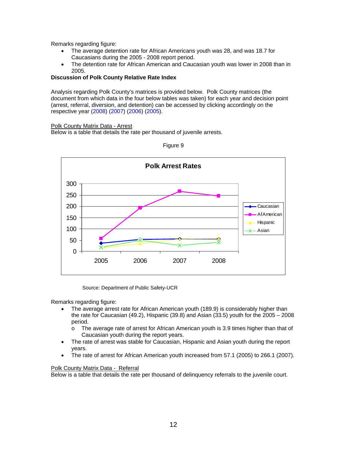- The average detention rate for African Americans youth was 28, and was 18.7 for Caucasians during the 2005 - 2008 report period.
- The detention rate for African American and Caucasian youth was lower in 2008 than in 2005.

#### **Discussion of Polk County Relative Rate Index**

Analysis regarding Polk County's matrices is provided below. Polk County matrices (the document from which data in the four below tables was taken) for each year and decision point (arrest, referral, diversion, and detention) can be accessed by clicking accordingly on the respective year (2008) (2007) (2006) (2005).

Polk County Matrix Data - Arrest

Below is a table that details the rate per thousand of juvenile arrests.

![](_page_11_Figure_7.jpeg)

Figure 9

Source: Department of Public Safety-UCR

Remarks regarding figure:

- The average arrest rate for African American youth (189.9) is considerably higher than the rate for Caucasian (49.2), Hispanic (39.8) and Asian (33.5) youth for the  $2005 - 2008$ period.
	- o The average rate of arrest for African American youth is 3.9 times higher than that of Caucasian youth during the report years.
- The rate of arrest was stable for Caucasian, Hispanic and Asian youth during the report years.
- The rate of arrest for African American youth increased from 57.1 (2005) to 266.1 (2007).

#### Polk County Matrix Data - Referral

Below is a table that details the rate per thousand of delinquency referrals to the juvenile court.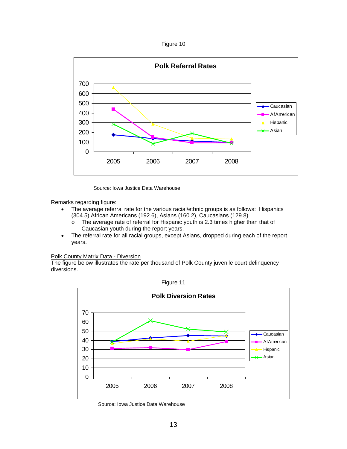Figure 10

![](_page_12_Figure_1.jpeg)

Source: Iowa Justice Data Warehouse

Remarks regarding figure:

- The average referral rate for the various racial/ethnic groups is as follows: Hispanics (304.5) African Americans (192.6), Asians (160.2), Caucasians (129.8).
	- $\circ$  The average rate of referral for Hispanic youth is 2.3 times higher than that of Caucasian youth during the report years.
- The referral rate for all racial groups, except Asians, dropped during each of the report years.

Polk County Matrix Data - Diversion

The figure below illustrates the rate per thousand of Polk County juvenile court delinquency diversions.

![](_page_12_Figure_9.jpeg)

Figure 11

Source: Iowa Justice Data Warehouse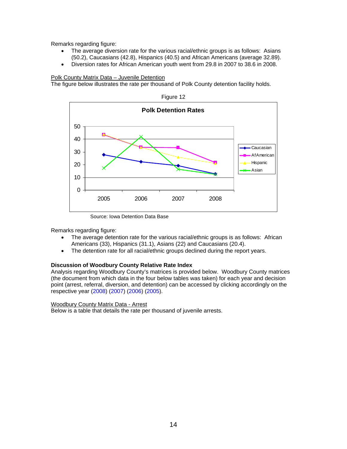- The average diversion rate for the various racial/ethnic groups is as follows: Asians (50.2), Caucasians (42.8), Hispanics (40.5) and African Americans (average 32.89).
- Diversion rates for African American youth went from 29.8 in 2007 to 38.6 in 2008.

#### Polk County Matrix Data – Juvenile Detention

The figure below illustrates the rate per thousand of Polk County detention facility holds.

![](_page_13_Figure_5.jpeg)

Figure 12

Source: Iowa Detention Data Base

Remarks regarding figure:

- The average detention rate for the various racial/ethnic groups is as follows: African Americans (33), Hispanics (31.1), Asians (22) and Caucasians (20.4).
- The detention rate for all racial/ethnic groups declined during the report years.

#### **Discussion of Woodbury County Relative Rate Index**

Analysis regarding Woodbury County's matrices is provided below. Woodbury County matrices (the document from which data in the four below tables was taken) for each year and decision point (arrest, referral, diversion, and detention) can be accessed by clicking accordingly on the respective year (2008) (2007) (2006) (2005).

#### Woodbury County Matrix Data - Arrest

Below is a table that details the rate per thousand of juvenile arrests.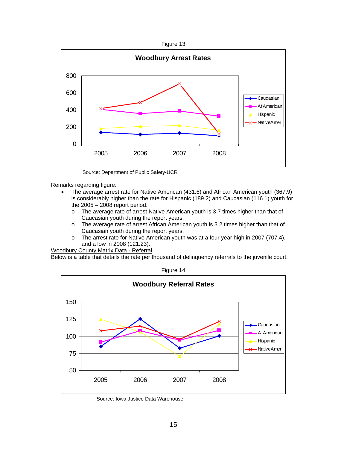![](_page_14_Figure_0.jpeg)

![](_page_14_Figure_1.jpeg)

Source: Department of Public Safety-UCR

- The average arrest rate for Native American (431.6) and African American youth (367.9) is considerably higher than the rate for Hispanic (189.2) and Caucasian (116.1) youth for the 2005 – 2008 report period.
	- o The average rate of arrest Native American youth is 3.7 times higher than that of Caucasian youth during the report years.
	- o The average rate of arrest African American youth is 3.2 times higher than that of Caucasian youth during the report years.
	- o The arrest rate for Native American youth was at a four year high in 2007 (707.4), and a low in 2008 (121.23).

Woodbury County Matrix Data - Referral

Below is a table that details the rate per thousand of delinquency referrals to the juvenile court.

![](_page_14_Figure_10.jpeg)

Figure 14

Source: Iowa Justice Data Warehouse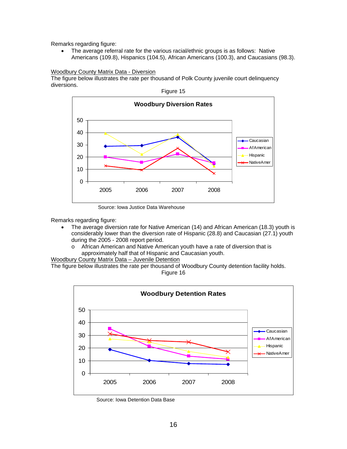• The average referral rate for the various racial/ethnic groups is as follows: Native Americans (109.8), Hispanics (104.5), African Americans (100.3), and Caucasians (98.3).

#### Woodbury County Matrix Data - Diversion

The figure below illustrates the rate per thousand of Polk County juvenile court delinquency diversions.

![](_page_15_Figure_4.jpeg)

Source: Iowa Justice Data Warehouse

Remarks regarding figure:

- The average diversion rate for Native American (14) and African American (18.3) youth is considerably lower than the diversion rate of Hispanic (28.8) and Caucasian (27.1) youth during the 2005 - 2008 report period.
	- o African American and Native American youth have a rate of diversion that is approximately half that of Hispanic and Caucasian youth.

Woodbury County Matrix Data – Juvenile Detention

The figure below illustrates the rate per thousand of Woodbury County detention facility holds. Figure 16

![](_page_15_Figure_11.jpeg)

Source: Iowa Detention Data Base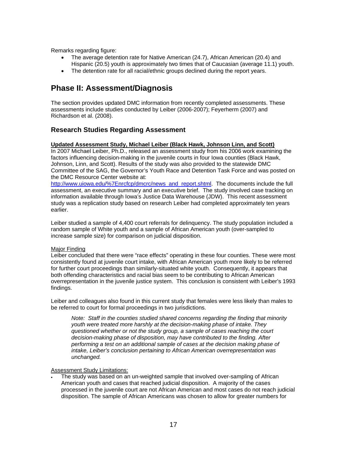- The average detention rate for Native American (24.7), African American (20.4) and Hispanic (20.5) youth is approximately two times that of Caucasian (average 11.1) youth.
- The detention rate for all racial/ethnic groups declined during the report years.

# **Phase II: Assessment/Diagnosis**

The section provides updated DMC information from recently completed assessments. These assessments include studies conducted by Leiber (2006-2007); Feyerherm (2007) and Richardson et al. (2008).

## **Research Studies Regarding Assessment**

#### **Updated Assessment Study, Michael Leiber (Black Hawk, Johnson Linn, and Scott)**

In 2007 Michael Leiber, Ph.D., released an assessment study from his 2006 work examining the factors influencing decision-making in the juvenile courts in four Iowa counties (Black Hawk, Johnson, Linn, and Scott). Results of the study was also provided to the statewide DMC Committee of the SAG, the Governor's Youth Race and Detention Task Force and was posted on the DMC Resource Center website at:

[http://www.uiowa.edu/%7Enrcfcp/dmcrc/news\\_and\\_report.shtml.](http://www.uiowa.edu/%7Enrcfcp/dmcrc/news_and_report.shtml) The documents include the full assessment, an executive summary and an executive brief. The study involved case tracking on information available through Iowa's Justice Data Warehouse (JDW). This recent assessment study was a replication study based on research Leiber had completed approximately ten years earlier.

Leiber studied a sample of 4,400 court referrals for delinquency. The study population included a random sample of White youth and a sample of African American youth (over-sampled to increase sample size) for comparison on judicial disposition.

#### Major Finding

Leiber concluded that there were "race effects" operating in these four counties. These were most consistently found at juvenile court intake, with African American youth more likely to be referred for further court proceedings than similarly-situated white youth. Consequently, it appears that both offending characteristics and racial bias seem to be contributing to African American overrepresentation in the juvenile justice system. This conclusion is consistent with Leiber's 1993 findings.

Leiber and colleagues also found in this current study that females were less likely than males to be referred to court for formal proceedings in two jurisdictions.

*Note: Staff in the counties studied shared concerns regarding the finding that minority youth were treated more harshly at the decision-making phase of intake. They questioned whether or not the study group, a sample of cases reaching the court decision-making phase of disposition, may have contributed to the finding. After performing a test on an additional sample of cases at the decision making phase of intake, Leiber's conclusion pertaining to African American overrepresentation was unchanged.* 

#### **Assessment Study Limitations:**

• The study was based on an un-weighted sample that involved over-sampling of African American youth and cases that reached judicial disposition. A majority of the cases processed in the juvenile court are not African American and most cases do not reach judicial disposition. The sample of African Americans was chosen to allow for greater numbers for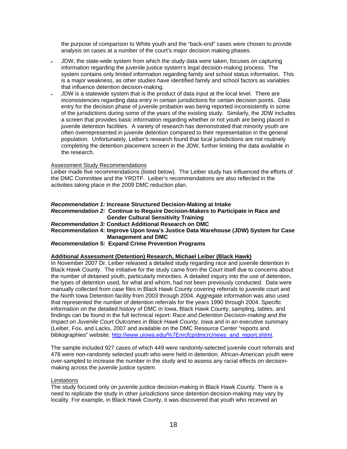the purpose of comparison to White youth and the "back-end" cases were chosen to provide analysis on cases at a number of the court's major decision making phases.

- JDW, the state-wide system from which the study data were taken, focuses on capturing information regarding the juvenile justice system's legal decision-making process. The system contains only limited information regarding family and school status information. This is a major weakness, as other studies have identified family and school factors as variables that influence detention decision-making.
- JDW is a statewide system that is the product of data input at the local level. There are inconsistencies regarding data entry in certain jurisdictions for certain decision points. Data entry for the decision phase of juvenile probation was being reported inconsistently in some of the jurisdictions during some of the years of the existing study. Similarly, the JDW includes a screen that provides basic information regarding whether or not youth are being placed in juvenile detention facilities. A variety of research has demonstrated that minority youth are often overrepresented in juvenile detention compared to their representation in the general population. Unfortunately, Leiber's research found that local jurisdictions are not routinely completing the detention placement screen in the JDW, further limiting the data available in the research.

#### Assessment Study Recommendations

Leiber made five recommendations (listed below). The Leiber study has influenced the efforts of the DMC Committee and the YRDTF. Leiber's recommendations are also reflected in the activities taking place in the 2009 DMC reduction plan.

#### *Recommendation 1:* **Increase Structured Decision-Making at Intake**

*Recommendation 2:* **Continue to Require Decision-Makers to Participate in Race and Gender Cultural Sensitivity Training** 

#### *Recommendation 3:* **Conduct Additional Research on DMC**

**Recommendation 4: Improve Upon Iowa's Justice Data Warehouse (JDW) System for Case Management and DMC** 

#### *Recommendation 5:* **Expand Crime Prevention Programs**

#### **Additional Assessment (Detention) Research, Michael Leiber (Black Hawk)**

In November 2007 Dr. Leiber released a detailed study regarding race and juvenile detention in Black Hawk County. The initiative for the study came from the Court itself due to concerns about the number of detained youth, particularly minorities. A detailed inquiry into the use of detention, the types of detention used, for what and whom, had not been previously conducted. Data were manually collected from case files in Black Hawk County covering referrals to juvenile court and the North Iowa Detention facility from 2003 through 2004. Aggregate information was also used that represented the number of detention referrals for the years 1990 through 2004. Specific information on the detailed history of DMC in Iowa, Black Hawk County, sampling, tables, and findings can be found in the full technical report: *Race and Detention Decision-making and the Impact on Juvenile Court Outcomes in Black Hawk County, Iowa* and in an executive summary (Leiber, Fox, and Lacks, 2007 and available on the DMC Resource Center "reports and bibliographies" website[: http://www.uiowa.edu/%7Enrcfcp/dmcrc/news\\_and\\_report.shtml.](http://www.uiowa.edu/%7Enrcfcp/dmcrc/news_and_report.shtml)

The sample included 927 cases of which 449 were randomly-selected juvenile court referrals and 478 were non-randomly selected youth who were held in detention. African-American youth were over-sampled to increase the number in the study and to assess any racial effects on decisionmaking across the juvenile justice system.

#### Limitations

The study focused only on juvenile justice decision-making in Black Hawk County. There is a need to replicate the study in other jurisdictions since detention decision-making may vary by locality. For example, in Black Hawk County, it was discovered that youth who received an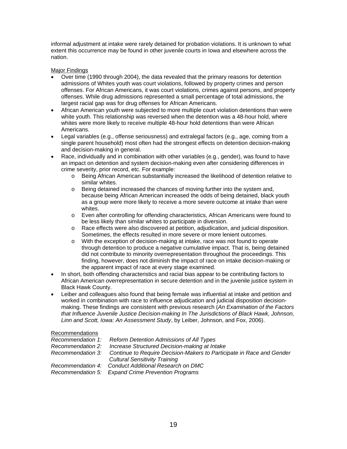informal adjustment at intake were rarely detained for probation violations. It is unknown to what extent this occurrence may be found in other juvenile courts in Iowa and elsewhere across the nation.

#### Major Findings

- Over time (1990 through 2004), the data revealed that the primary reasons for detention admissions of Whites youth was court violations, followed by property crimes and person offenses. For African Americans, it was court violations, crimes against persons, and property offenses. While drug admissions represented a small percentage of total admissions, the largest racial gap was for drug offenses for African Americans.
- African American youth were subjected to more multiple court violation detentions than were white youth. This relationship was reversed when the detention was a 48-hour hold, where whites were more likely to receive multiple 48-hour hold detentions than were African Americans.
- Legal variables (e.g., offense seriousness) and extralegal factors (e.g., age, coming from a single parent household) most often had the strongest effects on detention decision-making and decision-making in general.
- Race, individually and in combination with other variables (e.g., gender), was found to have an impact on detention and system decision-making even after considering differences in crime severity, prior record, etc. For example:
	- o Being African American substantially increased the likelihood of detention relative to similar whites.
	- o Being detained increased the chances of moving further into the system and, because being African American increased the odds of being detained, black youth as a group were more likely to receive a more severe outcome at intake than were whites.
	- o Even after controlling for offending characteristics, African Americans were found to be less likely than similar whites to participate in diversion.
	- o Race effects were also discovered at petition, adjudication, and judicial disposition. Sometimes, the effects resulted in more severe or more lenient outcomes.
	- o With the exception of decision-making at intake, race was not found to operate through detention to produce a negative cumulative impact. That is, being detained did not contribute to minority overrepresentation throughout the proceedings. This finding, however, does not diminish the impact of race on intake decision-making or the apparent impact of race at every stage examined.
- In short, both offending characteristics and racial bias appear to be contributing factors to African American overrepresentation in secure detention and in the juvenile justice system in Black Hawk County.
- Leiber and colleagues also found that being female was influential at intake and petition and worked in combination with race to influence adjudication and judicial disposition decisionmaking. These findings are consistent with previous research (*An Examination of the Factors that Influence Juvenile Justice Decision-making In The Jurisdictions of Black Hawk, Johnson, Linn and Scott, Iowa: An Assessment Study*, by Leiber, Johnson, and Fox, 2006).

#### Recommendations

| Recommendation 1: Reform Detention Admissions of All Types                                                                      |
|---------------------------------------------------------------------------------------------------------------------------------|
| Recommendation 2: Increase Structured Decision-making at Intake                                                                 |
| Recommendation 3: Continue to Require Decision-Makers to Participate in Race and Gender<br><b>Cultural Sensitivity Training</b> |
| Recommendation 4: Conduct Additional Research on DMC<br>Recommendation 5: Expand Crime Prevention Programs                      |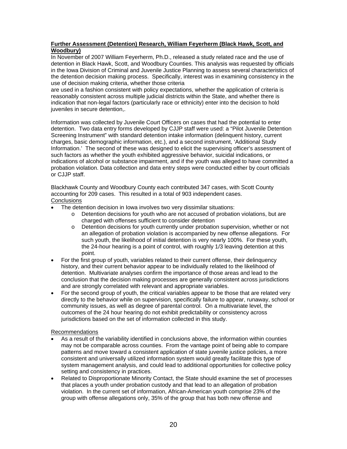#### **Further Assessment (Detention) Research, William Feyerherm (Black Hawk, Scott, and Woodbury)**

In November of 2007 William Feyerherm, Ph.D., released a study related race and the use of detention in Black Hawk, Scott, and Woodbury Counties. This analysis was requested by officials in the Iowa Division of Criminal and Juvenile Justice Planning to assess several characteristics of the detention decision making process. Specifically, interest was in examining consistency in the use of decision making criteria, whether those criteria

are used in a fashion consistent with policy expectations, whether the application of criteria is reasonably consistent across multiple judicial districts within the State, and whether there is indication that non-legal factors (particularly race or ethnicity) enter into the decision to hold juveniles in secure detention,.

Information was collected by Juvenile Court Officers on cases that had the potential to enter detention. Two data entry forms developed by CJJP staff were used: a "Pilot Juvenile Detention Screening Instrument" with standard detention intake information (delinquent history, current charges, basic demographic information, etc.), and a second instrument, 'Additional Study Information.' The second of these was designed to elicit the supervising officer's assessment of such factors as whether the youth exhibited aggressive behavior, suicidal indications, or indications of alcohol or substance impairment, and if the youth was alleged to have committed a probation violation. Data collection and data entry steps were conducted either by court officials or CJJP staff.

Blackhawk County and Woodbury County each contributed 347 cases, with Scott County accounting for 209 cases. This resulted in a total of 903 independent cases. **Conclusions** 

- The detention decision in Iowa involves two very dissimilar situations:
	- $\circ$  Detention decisions for youth who are not accused of probation violations, but are charged with offenses sufficient to consider detention
	- o Detention decisions for youth currently under probation supervision, whether or not an allegation of probation violation is accompanied by new offense allegations. For such youth, the likelihood of initial detention is very nearly 100%. For these youth, the 24-hour hearing is a point of control, with roughly 1/3 leaving detention at this point.
- For the first group of youth, variables related to their current offense, their delinquency history, and their current behavior appear to be individually related to the likelihood of detention. Multivariate analyses confirm the importance of those areas and lead to the conclusion that the decision making processes are generally consistent across jurisdictions and are strongly correlated with relevant and appropriate variables.
- For the second group of youth, the critical variables appear to be those that are related very directly to the behavior while on supervision, specifically failure to appear, runaway, school or community issues, as well as degree of parental control. On a multivariate level, the outcomes of the 24 hour hearing do not exhibit predictability or consistency across jurisdictions based on the set of information collected in this study.

#### Recommendations

- As a result of the variability identified in conclusions above, the information within counties may not be comparable across counties. From the vantage point of being able to compare patterns and move toward a consistent application of state juvenile justice policies, a more consistent and universally utilized information system would greatly facilitate this type of system management analysis, and could lead to additional opportunities for collective policy setting and consistency in practices.
- Related to Disproportionate Minority Contact, the State should examine the set of processes that places a youth under probation custody and that lead to an allegation of probation violation. In the current set of information, African-American youth comprise 23% of the group with offense allegations only, 35% of the group that has both new offense and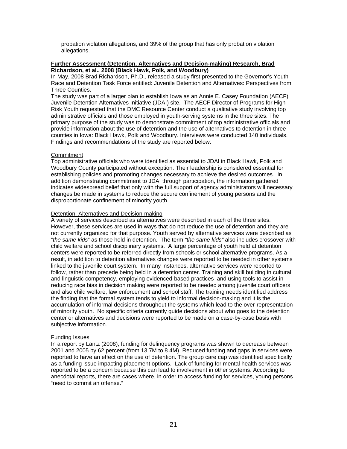probation violation allegations, and 39% of the group that has only probation violation allegations.

#### **Further Assessment (Detention, Alternatives and Decision-making) Research, Brad Richardson, et al., 2008 (Black Hawk, Polk, and Woodbury)**

In May, 2008 Brad Richardson, Ph.D., released a study first presented to the Governor's Youth Race and Detention Task Force entitled: Juvenile Detention and Alternatives: Perspectives from Three Counties.

The study was part of a larger plan to establish Iowa as an Annie E. Casey Foundation (AECF) Juvenile Detention Alternatives Initiative (JDAI) site. The AECF Director of Programs for High Risk Youth requested that the DMC Resource Center conduct a qualitative study involving top administrative officials and those employed in youth-serving systems in the three sites. The primary purpose of the study was to demonstrate commitment of top administrative officials and provide information about the use of detention and the use of alternatives to detention in three counties in Iowa: Black Hawk, Polk and Woodbury. Interviews were conducted 140 individuals. Findings and recommendations of the study are reported below:

#### **Commitment**

Top administrative officials who were identified as essential to JDAI in Black Hawk, Polk and Woodbury County participated without exception. Their leadership is considered essential for establishing policies and promoting changes necessary to achieve the desired outcomes. In addition demonstrating commitment to JDAI through participation, the information gathered indicates widespread belief that only with the full support of agency administrators will necessary changes be made in systems to reduce the secure confinement of young persons and the disproportionate confinement of minority youth.

#### Detention, Alternatives and Decision-making

A variety of services described as alternatives were described in each of the three sites. However, these services are used in ways that do not reduce the use of detention and they are not currently organized for that purpose. Youth served by alternative services were described as "*the same kids*" as those held in detention. The term *"the same kids"* also includes crossover with child welfare and school disciplinary systems. A large percentage of youth held at detention centers were reported to be referred directly from schools or school alternative programs. As a result, in addition to detention alternatives changes were reported to be needed in other systems linked to the juvenile court system. In many instances, alternative services were reported to follow, rather than precede being held in a detention center. Training and skill building in cultural and linguistic competency, employing evidenced-based practices and using tools to assist in reducing race bias in decision making were reported to be needed among juvenile court officers and also child welfare, law enforcement and school staff. The training needs identified address the finding that the formal system tends to yield to informal decision-making and it is the accumulation of informal decisions throughout the systems which lead to the over-representation of minority youth. No specific criteria currently guide decisions about who goes to the detention center or alternatives and decisions were reported to be made on a case-by-case basis with subjective information.

#### Funding Issues

In a report by Lantz (2008), funding for delinquency programs was shown to decrease between 2001 and 2005 by 62 percent (from 13.7M to 8.4M). Reduced funding and gaps in services were reported to have an effect on the use of detention. The group care cap was identified specifically as a funding issue impacting placement options. Lack of funding for mental health services was reported to be a concern because this can lead to involvement in other systems. According to anecdotal reports, there are cases where, in order to access funding for services, young persons "need to commit an offense."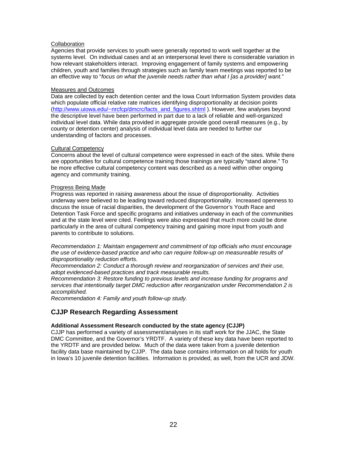#### **Collaboration**

Agencies that provide services to youth were generally reported to work well together at the systems level. On individual cases and at an interpersonal level there is considerable variation in how relevant stakeholders interact. Improving engagement of family systems and empowering children, youth and families through strategies such as family team meetings was reported to be an effective way to "*focus on what the juvenile needs rather than what I [as a provider] want.*"

#### Measures and Outcomes

Data are collected by each detention center and the Iowa Court Information System provides data which populate official relative rate matrices identifying disproportionality at decision points [\(http://www.uiowa.edu/~nrcfcp/dmcrc/facts\\_and\\_figures.shtml \)](http://www.uiowa.edu/~nrcfcp/dmcrc/facts_and_figures.shtml). However, few analyses beyond the descriptive level have been performed in part due to a lack of reliable and well-organized individual level data. While data provided in aggregate provide good overall measures (e.g., by county or detention center) analysis of individual level data are needed to further our understanding of factors and processes.

#### Cultural Competency

Concerns about the level of cultural competence were expressed in each of the sites. While there are opportunities for cultural competence training those trainings are typically "stand alone." To be more effective cultural competency content was described as a need within other ongoing agency and community training.

#### Progress Being Made

Progress was reported in raising awareness about the issue of disproportionality. Activities underway were believed to be leading toward reduced disproportionality. Increased openness to discuss the issue of racial disparities, the development of the Governor's Youth Race and Detention Task Force and specific programs and initiatives underway in each of the communities and at the state level were cited. Feelings were also expressed that much more could be done particularly in the area of cultural competency training and gaining more input from youth and parents to contribute to solutions.

*Recommendation 1: Maintain engagement and commitment of top officials who must encourage the use of evidence-based practice and who can require follow-up on measureable results of disproportionality reduction efforts.* 

*Recommendation 2: Conduct a thorough review and reorganization of services and their use, adopt evidenced-based practices and track measurable results.* 

*Recommendation 3: Restore funding to previous levels and increase funding for programs and services that intentionally target DMC reduction after reorganization under Recommendation 2 is accomplished.* 

*Recommendation 4: Family and youth follow-up study.* 

## **CJJP Research Regarding Assessment**

#### **Additional Assessment Research conducted by the state agency (CJJP)**

CJJP has performed a variety of assessment/analyses in its staff work for the JJAC, the State DMC Committee, and the Governor's YRDTF. A variety of these key data have been reported to the YRDTF and are provided below. Much of the data were taken from a juvenile detention facility data base maintained by CJJP. The data base contains information on all holds for youth in Iowa's 10 juvenile detention facilities. Information is provided, as well, from the UCR and JDW.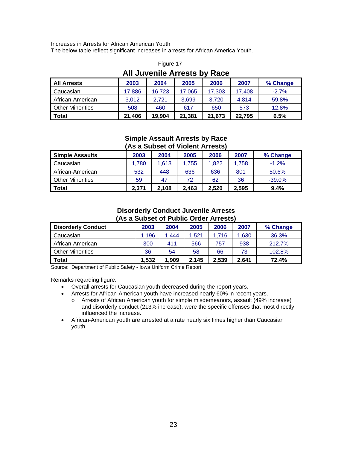#### Increases in Arrests for African American Youth

The below table reflect significant increases in arrests for African America Youth.

| <b>All Juvenile Arrests by Race</b>                             |        |        |        |        |        |          |
|-----------------------------------------------------------------|--------|--------|--------|--------|--------|----------|
| <b>All Arrests</b>                                              | 2003   | 2004   | 2005   | 2006   | 2007   | % Change |
| Caucasian                                                       | 17,886 | 16,723 | 17,065 | 17,303 | 17,408 | $-2.7%$  |
| African-American                                                | 3,012  | 2.721  | 3,699  | 3.720  | 4.814  | 59.8%    |
| <b>Other Minorities</b>                                         | 508    | 460    | 617    | 650    | 573    | 12.8%    |
| Total<br>19,904<br>21,406<br>22,795<br>6.5%<br>21,381<br>21,673 |        |        |        |        |        |          |

# Figure 17

#### **Simple Assault Arrests by Race (As a Subset of Violent Arrests)**

| (AS a Supset of Violent Affests) |       |       |       |       |       |          |
|----------------------------------|-------|-------|-------|-------|-------|----------|
| <b>Simple Assaults</b>           | 2003  | 2004  | 2005  | 2006  | 2007  | % Change |
| Caucasian                        | 1,780 | 1.613 | 1,755 | 1,822 | 1.758 | $-1.2%$  |
| African-American                 | 532   | 448   | 636   | 636   | 801   | 50.6%    |
| <b>Other Minorities</b>          | 59    | 47    | 72    | 62    | 36    | $-39.0%$ |
| Total                            | 2.371 | 2.108 | 2.463 | 2,520 | 2,595 | 9.4%     |

## **Disorderly Conduct Juvenile Arrests (As a Subset of Public Order Arrests)**

| <b>Disorderly Conduct</b> | 2003  | 2004  | 2005  | 2006  | 2007  | % Change |
|---------------------------|-------|-------|-------|-------|-------|----------|
| Caucasian                 | .196  | 1.444 | 1.521 | 1.716 | 1,630 | 36.3%    |
| African-American          | 300   | 411   | 566   | 757   | 938   | 212.7%   |
| <b>Other Minorities</b>   | 36    | 54    | 58    | 66    | 73    | 102.8%   |
| <b>Total</b>              | 1,532 | 1,909 | 2,145 | 2,539 | 2.641 | 72.4%    |

Source: Department of Public Safety - Iowa Uniform Crime Report

Remarks regarding figure:

- Overall arrests for Caucasian youth decreased during the report years.
- Arrests for African-American youth have increased nearly 60% in recent years.
	- o Arrests of African American youth for simple misdemeanors, assault (49% increase) and disorderly conduct (213% increase), were the specific offenses that most directly influenced the increase.
- African-American youth are arrested at a rate nearly six times higher than Caucasian youth.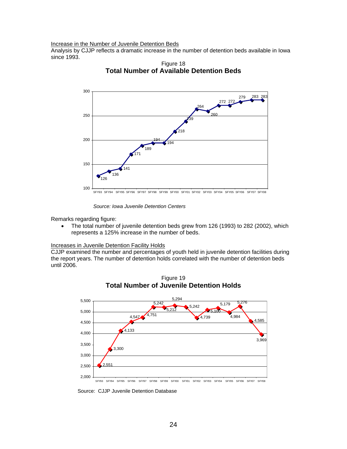Increase in the Number of Juvenile Detention Beds

Analysis by CJJP reflects a dramatic increase in the number of detention beds available in Iowa since 1993.

![](_page_23_Figure_2.jpeg)

Figure 18 **Total Number of Available Detention Beds** 

 *Source: Iowa Juvenile Detention Centers*

Remarks regarding figure:

• The total number of juvenile detention beds grew from 126 (1993) to 282 (2002), which represents a 125% increase in the number of beds.

#### Increases in Juvenile Detention Facility Holds

CJJP examined the number and percentages of youth held in juvenile detention facilities during the report years. The number of detention holds correlated with the number of detention beds until 2006.

![](_page_23_Figure_9.jpeg)

Figure 19 **Total Number of Juvenile Detention Holds**

Source: CJJP Juvenile Detention Database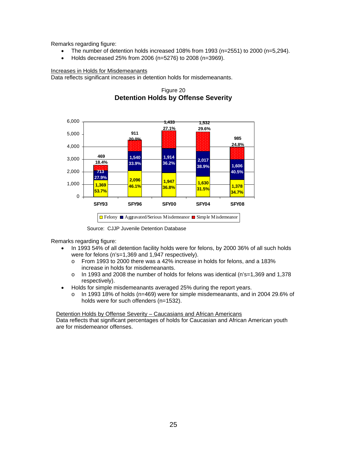- The number of detention holds increased  $108\%$  from 1993 (n=2551) to 2000 (n=5,294).
- Holds decreased 25% from 2006 (n=5276) to 2008 (n=3969).

#### Increases in Holds for Misdemeanants

Data reflects significant increases in detention holds for misdemeanants.

![](_page_24_Figure_5.jpeg)

Figure 20 **Detention Holds by Offense Severity** 

Source: CJJP Juvenile Detention Database

Remarks regarding figure:

- In 1993 54% of all detention facility holds were for felons, by 2000 36% of all such holds were for felons (n's=1,369 and 1,947 respectively).
	- o From 1993 to 2000 there was a 42% increase in holds for felons, and a 183% increase in holds for misdemeanants.
	- o In 1993 and 2008 the number of holds for felons was identical (n's=1,369 and 1,378 respectively).
- Holds for simple misdemeanants averaged 25% during the report years.
	- $\circ$  In 1993 18% of holds (n=469) were for simple misdemeanants, and in 2004 29.6% of holds were for such offenders (n=1532).

Detention Holds by Offense Severity – Caucasians and African Americans

Data reflects that significant percentages of holds for Caucasian and African American youth are for misdemeanor offenses.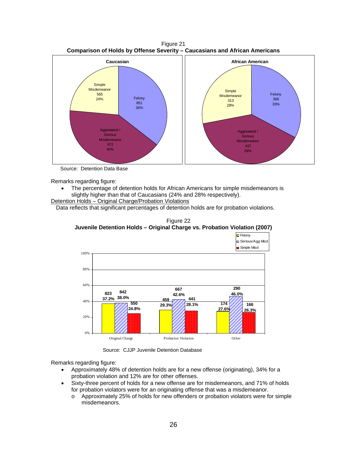![](_page_25_Figure_0.jpeg)

Source: Detention Data Base

- The percentage of detention holds for African Americans for simple misdemeanors is slightly higher than that of Caucasians (24% and 28% respectively).
- Detention Holds Original Charge/Probation Violations

Data reflects that significant percentages of detention holds are for probation violations.

![](_page_25_Figure_6.jpeg)

![](_page_25_Figure_7.jpeg)

Source: CJJP Juvenile Detention Database

Remarks regarding figure:

- Approximately 48% of detention holds are for a new offense (originating), 34% for a probation violation and 12% are for other offenses.
- Sixty-three percent of holds for a new offense are for misdemeanors, and 71% of holds for probation violators were for an originating offense that was a misdemeanor.
	- o Approximately 25% of holds for new offenders or probation violators were for simple misdemeanors.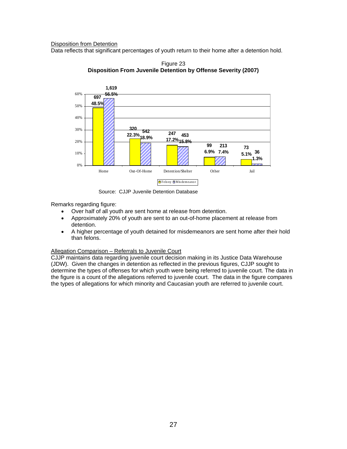#### Disposition from Detention

Data reflects that significant percentages of youth return to their home after a detention hold.

![](_page_26_Figure_2.jpeg)

Figure 23 **Disposition From Juvenile Detention by Offense Severity (2007)**

Source: CJJP Juvenile Detention Database

Remarks regarding figure:

- Over half of all youth are sent home at release from detention.
- Approximately 20% of youth are sent to an out-of-home placement at release from detention.
- A higher percentage of youth detained for misdemeanors are sent home after their hold than felons.

#### Allegation Comparison – Referrals to Juvenile Court

CJJP maintains data regarding juvenile court decision making in its Justice Data Warehouse (JDW). Given the changes in detention as reflected in the previous figures, CJJP sought to determine the types of offenses for which youth were being referred to juvenile court. The data in the figure is a count of the allegations referred to juvenile court. The data in the figure compares the types of allegations for which minority and Caucasian youth are referred to juvenile court.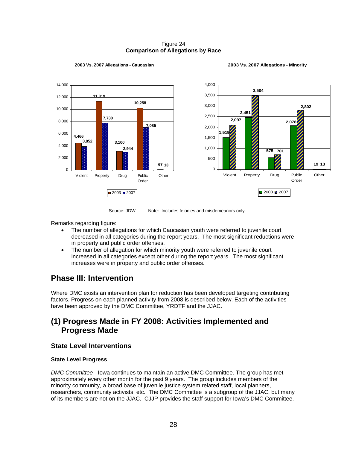#### Figure 24 **Comparison of Allegations by Race**

![](_page_27_Figure_1.jpeg)

#### **2003 Vs. 2007 Allegations - Caucasian**

![](_page_27_Figure_3.jpeg)

Source: JDW Note: Includes felonies and misdemeanors only.

Remarks regarding figure:

- The number of allegations for which Caucasian youth were referred to juvenile court decreased in all categories during the report years. The most significant reductions were in property and public order offenses.
- The number of allegation for which minority youth were referred to juvenile court increased in all categories except other during the report years. The most significant increases were in property and public order offenses.

# **Phase III: Intervention**

Where DMC exists an intervention plan for reduction has been developed targeting contributing factors. Progress on each planned activity from 2008 is described below. Each of the activities have been approved by the DMC Committee, YRDTF and the JJAC.

# **(1) Progress Made in FY 2008: Activities Implemented and Progress Made**

## **State Level Interventions**

#### **State Level Progress**

*DMC Committee* - Iowa continues to maintain an active DMC Committee. The group has met approximately every other month for the past 9 years. The group includes members of the minority community, a broad base of juvenile justice system related staff, local planners, researchers, community activists, etc. The DMC Committee is a subgroup of the JJAC, but many of its members are not on the JJAC. CJJP provides the staff support for Iowa's DMC Committee.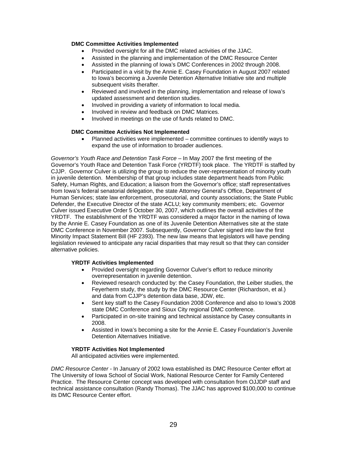#### **DMC Committee Activities Implemented**

- Provided oversight for all the DMC related activities of the JJAC.
- Assisted in the planning and implementation of the DMC Resource Center
- Assisted in the planning of Iowa's DMC Conferences in 2002 through 2008.
- Participated in a visit by the Annie E. Casey Foundation in August 2007 related to Iowa's becoming a Juvenile Detention Alternative Initiative site and multiple subsequent visits therafter.
- Reviewed and involved in the planning, implementation and release of Iowa's updated assessment and detention studies.
- Involved in providing a variety of information to local media.
- Involved in review and feedback on DMC Matrices.
- Involved in meetings on the use of funds related to DMC.

#### **DMC Committee Activities Not Implemented**

• Planned activities were implemented – committee continues to identify ways to expand the use of information to broader audiences.

*Governor's Youth Race and Detention Task Force* – In May 2007 the first meeting of the Governor's Youth Race and Detention Task Force (YRDTF) took place. The YRDTF is staffed by CJJP. Governor Culver is utilizing the group to reduce the over-representation of minority youth in juvenile detention. Membership of that group includes state department heads from Public Safety, Human Rights, and Education; a liaison from the Governor's office; staff representatives from Iowa's federal senatorial delegation, the state Attorney General's Office, Department of Human Services; state law enforcement, prosecutorial, and county associations; the State Public Defender, the Executive Director of the state ACLU; key community members; etc. Governor Culver issued Executive Order 5 October 30, 2007, which outlines the overall activities of the YRDTF. The establishment of the YRDTF was considered a major factor in the naming of Iowa by the Annie E. Casey Foundation as one of its Juvenile Detention Alternatives site at the state DMC Conference in November 2007. Subsequently, Governor Culver signed into law the first Minority Impact Statement Bill (HF 2393). The new law means that legislators will have pending legislation reviewed to anticipate any racial disparities that may result so that they can consider alternative policies.

#### **YRDTF Activities Implemented**

- Provided oversight regarding Governor Culver's effort to reduce minority overrepresentation in juvenile detention.
- Reviewed research conducted by: the Casey Foundation, the Leiber studies, the Feyerherm study, the study by the DMC Resource Center (Richardson, et al.) and data from CJJP's detention data base, JDW, etc.
- Sent key staff to the Casey Foundation 2008 Conference and also to Iowa's 2008 state DMC Conference and Sioux City regional DMC conference.
- Participated in on-site training and technical assistance by Casey consultants in 2008.
- Assisted in Iowa's becoming a site for the Annie E. Casey Foundation's Juvenile Detention Alternatives Initiative.

#### **YRDTF Activities Not Implemented**

All anticipated activities were implemented.

*DMC Resource Center -* In January of 2002 Iowa established its DMC Resource Center effort at The University of Iowa School of Social Work, National Resource Center for Family Centered Practice. The Resource Center concept was developed with consultation from OJJDP staff and technical assistance consultation (Randy Thomas). The JJAC has approved \$100,000 to continue its DMC Resource Center effort.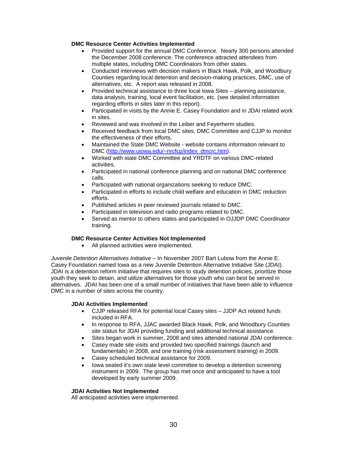#### **DMC Resource Center Activities Implemented**

- Provided support for the annual DMC Conference. Nearly 300 persons attended the December 2008 conference. The conference attracted attendees from multiple states, including DMC Coordinators from other states.
- Conducted interviews with decision makers in Black Hawk, Polk, and Woodbury Counties regarding local detention and decision-making practices, DMC, use of alternatives, etc. A report was released in 2008.
- Provided technical assistance to three local Iowa Sites planning assistance, data analysis, training, local event facilitation, etc. (see detailed information regarding efforts in sites later in this report).
- Participated in visits by the Annie E. Casey Foundation and in JDAI related work in sites.
- Reviewed and was involved in the Leiber and Feyerherm studies.
- Received feedback from local DMC sites, DMC Committee and CJJP to monitor the effectiveness of their efforts.
- Maintained the State DMC Website website contains information relevant to DMC ([http://www.uiowa.edu/~nrcfcp/index\\_dmcrc.htm\).](http://www.uiowa.edu/~nrcfcp/dmcrc/)
- Worked with state DMC Committee and YRDTF on various DMC-related activities.
- Participated in national conference planning and on national DMC conference calls.
- Participated with national organizations seeking to reduce DMC.
- Participated in efforts to include child welfare and education in DMC reduction efforts.
- Published articles in peer reviewed journals related to DMC.
- Participated in television and radio programs related to DMC.
- Served as mentor to others states and participated in OJJDP DMC Coordinator training.

#### **DMC Resource Center Activities Not Implemented**

• All planned activities were implemented.

*Juvenile Detention Alternatives Initiative* – In November 2007 Bart Lubow from the Annie E. Casey Foundation named Iowa as a new Juvenile Detention Alternative Initiative Site (JDAI). JDAI is a detention reform initiative that requires sites to study detention policies, prioritize those youth they seek to detain, and utilize alternatives for those youth who can best be served in alternatives. JDAI has been one of a small number of initiatives that have been able to influence DMC in a number of sites across the country.

#### **JDAI Activities Implemented**

- CJJP released RFA for potential local Casey sites JJDP Act related funds included in RFA.
- In response to RFA, JJAC awarded Black Hawk, Polk, and Woodbury Counties site status for JDAI providing funding and additional technical assistance.
- Sites began work in summer, 2008 and sites attended national JDAI conference.
- Casey made site visits and provided two specified trainings (launch and fundamentals) in 2008, and one training (risk assessment training) in 2009.
- Casey scheduled technical assistance for 2009.
- lowa seated it's own state level committee to develop a detention screening instrument in 2009. The group has met once and anticipated to have a tool developed by early summer 2009.

#### **JDAI Activities Not Implemented**

All anticipated activities were implemented.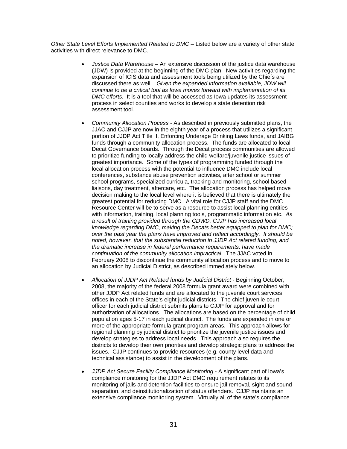*Other State Level Efforts Implemented Related to DMC* – Listed below are a variety of other state activities with direct relevance to DMC.

- *Justice Data Warehouse* An extensive discussion of the justice data warehouse (JDW) is provided at the beginning of the DMC plan. New activities regarding the expansion of ICIS data and assessment tools being utilized by the Chiefs are discussed there as well. *Given the expanded information available, JDW will continue to be a critical tool as Iowa moves forward with implementation of its DMC efforts.* It is a tool that will be accessed as Iowa updates its assessment process in select counties and works to develop a state detention risk assessment tool.
- *Community Allocation Process* As described in previously submitted plans, the JJAC and CJJP are now in the eighth year of a process that utilizes a significant portion of JJDP Act Title II, Enforcing Underage Drinking Laws funds, and JAIBG funds through a community allocation process. The funds are allocated to local Decat Governance boards. Through the Decat process communities are allowed to prioritize funding to locally address the child welfare/juvenile justice issues of greatest importance. Some of the types of programming funded through the local allocation process with the potential to influence DMC include local conferences, substance abuse prevention activities, after school or summer school programs, specialized curricula, tracking and monitoring, school based liaisons, day treatment, aftercare, etc. The allocation process has helped move decision making to the local level where it is believed that there is ultimately the greatest potential for reducing DMC. A vital role for CJJP staff and the DMC Resource Center will be to serve as a resource to assist local planning entities with information, training, local planning tools, programmatic information etc. *As a result of training provided through the CDWD, CJJP has increased local knowledge regarding DMC, making the Decats better equipped to plan for DMC; over the past year the plans have improved and reflect accordingly. It should be noted, however, that the substantial reduction in JJDP Act related funding, and the dramatic increase in federal performance requirements, have made continuation of the community allocation impractical.* The JJAC voted in February 2008 to discontinue the community allocation process and to move to an allocation by Judicial District, as described immediately below.
- *Allocation of JJDP Act Related funds by Judicial District* Beginning October, 2008, the majority of the federal 2008 formula grant award were combined with other JJDP Act related funds and are allocated to the juvenile court services offices in each of the State's eight judicial districts. The chief juvenile court officer for each judicial district submits plans to CJJP for approval and for authorization of allocations. The allocations are based on the percentage of child population ages 5-17 in each judicial district. The funds are expended in one or more of the appropriate formula grant program areas. This approach allows for regional planning by judicial district to prioritize the juvenile justice issues and develop strategies to address local needs. This approach also requires the districts to develop their own priorities and develop strategic plans to address the issues. CJJP continues to provide resources (e.g. county level data and technical assistance) to assist in the development of the plans.
- *JJDP Act Secure Facility Compliance Monitoring* A significant part of Iowa's compliance monitoring for the JJDP Act DMC requirement relates to its monitoring of jails and detention facilities to ensure jail removal, sight and sound separation, and deinstitutionalization of status offenders. CJJP maintains an extensive compliance monitoring system. Virtually all of the state's compliance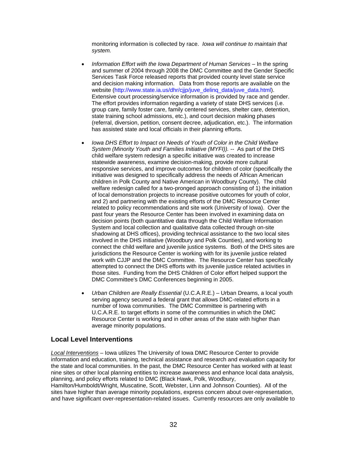monitoring information is collected by race. *Iowa will continue to maintain that system.*

- Information Effort with the Iowa Department of Human Services In the spring and summer of 2004 through 2008 the DMC Committee and the Gender Specific Services Task Force released reports that provided county level state service and decision making information. Data from those reports are available on the website [\(http://www.state.ia.us/dhr/cjjp/juve\\_delinq\\_data/juve\\_data.html\).](http://www.state.ia.us/dhr/cjjp/juve_delinq_data/juve_data.html) Extensive court processing/service information is provided by race and gender. The effort provides information regarding a variety of state DHS services (i.e. group care, family foster care, family centered services, shelter care, detention, state training school admissions, etc.), and court decision making phases (referral, diversion, petition, consent decree, adjudication, etc.). The information has assisted state and local officials in their planning efforts.
- *Iowa DHS Effort to Impact on Needs of Youth of Color in the Child Welfare System (Minority Youth and Families Initiative (MYFI)). --* As part of the DHS child welfare system redesign a specific initiative was created to increase statewide awareness, examine decision-making, provide more cultural responsive services, and improve outcomes for children of color (specifically the initiative was designed to specifically address the needs of African American children in Polk County and Native American in Woodbury County). The child welfare redesign called for a two-pronged approach consisting of 1) the initiation of local demonstration projects to increase positive outcomes for youth of color, and 2) and partnering with the existing efforts of the DMC Resource Center related to policy recommendations and site work (University of Iowa). Over the past four years the Resource Center has been involved in examining data on decision points (both quantitative data through the Child Welfare Information System and local collection and qualitative data collected through on-site shadowing at DHS offices), providing technical assistance to the two local sites involved in the DHS initiative (Woodbury and Polk Counties), and working to connect the child welfare and juvenile justice systems. Both of the DHS sites are jurisdictions the Resource Center is working with for its juvenile justice related work with CJJP and the DMC Committee. The Resource Center has specifically attempted to connect the DHS efforts with its juvenile justice related activities in those sites. Funding from the DHS Children of Color effort helped support the DMC Committee's DMC Conferences beginning in 2005.
- *Urban Children are Really Essential* (U.C.A.R.E.) Urban Dreams, a local youth serving agency secured a federal grant that allows DMC-related efforts in a number of Iowa communities. The DMC Committee is partnering with U.C.A.R.E. to target efforts in some of the communities in which the DMC Resource Center is working and in other areas of the state with higher than average minority populations.

## **Local Level Interventions**

*Local Interventions –* Iowa utilizes The University of Iowa DMC Resource Center to provide information and education, training, technical assistance and research and evaluation capacity for the state and local communities. In the past, the DMC Resource Center has worked with at least nine sites or other local planning entities to increase awareness and enhance local data analysis, planning, and policy efforts related to DMC (Black Hawk, Polk, Woodbury,

Hamilton/Humboldt/Wright, Muscatine, Scott, Webster, Linn and Johnson Counties). All of the sites have higher than average minority populations, express concern about over-representation, and have significant over-representation-related issues. Currently resources are only available to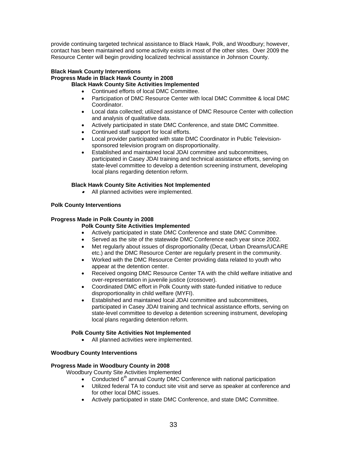provide continuing targeted technical assistance to Black Hawk, Polk, and Woodbury; however, contact has been maintained and some activity exists in most of the other sites. Over 2009 the Resource Center will begin providing localized technical assistance in Johnson County.

#### **Black Hawk County Interventions Progress Made in Black Hawk County in 2008 Black Hawk County Site Activities Implemented**

- Continued efforts of local DMC Committee.
- Participation of DMC Resource Center with local DMC Committee & local DMC Coordinator.
- Local data collected; utilized assistance of DMC Resource Center with collection and analysis of qualitative data.
- Actively participated in state DMC Conference, and state DMC Committee.
- Continued staff support for local efforts.
- Local provider participated with state DMC Coordinator in Public Televisionsponsored television program on disproportionality.
- Established and maintained local JDAI committee and subcommittees, participated in Casey JDAI training and technical assistance efforts, serving on state-level committee to develop a detention screening instrument, developing local plans regarding detention reform.

#### **Black Hawk County Site Activities Not Implemented**

•All planned activities were implemented.

#### **Polk County Interventions**

#### **Progress Made in Polk County in 2008**

#### **Polk County Site Activities Implemented**

- Actively participated in state DMC Conference and state DMC Committee.
- Served as the site of the statewide DMC Conference each year since 2002.
- Met regularly about issues of disproportionality (Decat, Urban Dreams/UCARE etc.) and the DMC Resource Center are regularly present in the community.
- Worked with the DMC Resource Center providing data related to youth who appear at the detention center.
- Received ongoing DMC Resource Center TA with the child welfare initiative and over-representation in juvenile justice (crossover).
- Coordinated DMC effort in Polk County with state-funded initiative to reduce disproportionality in child welfare (MYFI).
- Established and maintained local JDAI committee and subcommittees, participated in Casey JDAI training and technical assistance efforts, serving on state-level committee to develop a detention screening instrument, developing local plans regarding detention reform.

#### **Polk County Site Activities Not Implemented**

All planned activities were implemented.

#### **Woodbury County Interventions**

#### **Progress Made in Woodbury County in 2008**

Woodbury County Site Activities Implemented

- Conducted  $6<sup>th</sup>$  annual County DMC Conference with national participation
- Utilized federal TA to conduct site visit and serve as speaker at conference and for other local DMC issues.
- Actively participated in state DMC Conference, and state DMC Committee.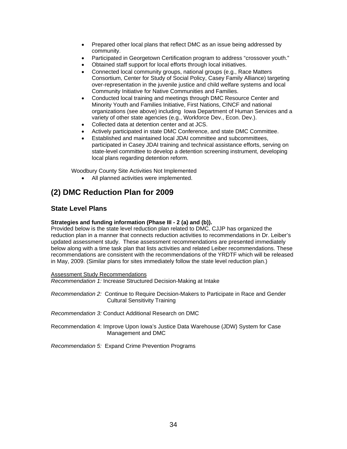- Prepared other local plans that reflect DMC as an issue being addressed by community.
- Participated in Georgetown Certification program to address "crossover youth."
- Obtained staff support for local efforts through local initiatives.
- Connected local community groups, national groups (e.g., Race Matters Consortium, Center for Study of Social Policy, Casey Family Alliance) targeting over-representation in the juvenile justice and child welfare systems and local Community Initiative for Native Communities and Families.
- Conducted local training and meetings through DMC Resource Center and Minority Youth and Families Initiative, First Nations, CINCF and national organizations (see above) including Iowa Department of Human Services and a variety of other state agencies (e.g., Workforce Dev., Econ. Dev.).
- Collected data at detention center and at JCS.
- Actively participated in state DMC Conference, and state DMC Committee.
- Established and maintained local JDAI committee and subcommittees, participated in Casey JDAI training and technical assistance efforts, serving on state-level committee to develop a detention screening instrument, developing local plans regarding detention reform.

Woodbury County Site Activities Not Implemented

All planned activities were implemented.

# **(2) DMC Reduction Plan for 2009**

## **State Level Plans**

#### **Strategies and funding information (Phase III - 2 (a) and (b)).**

Provided below is the state level reduction plan related to DMC. CJJP has organized the reduction plan in a manner that connects reduction activities to recommendations in Dr. Leiber's updated assessment study. These assessment recommendations are presented immediately below along with a time task plan that lists activities and related Leiber recommendations. These recommendations are consistent with the recommendations of the YRDTF which will be released in May, 2009. (Similar plans for sites immediately follow the state level reduction plan.)

Assessment Study Recommendations *Recommendation 1:* Increase Structured Decision-Making at Intake

*Recommendation 2:* Continue to Require Decision-Makers to Participate in Race and Gender Cultural Sensitivity Training

*Recommendation 3:* Conduct Additional Research on DMC

Recommendation 4: Improve Upon Iowa's Justice Data Warehouse (JDW) System for Case Management and DMC

*Recommendation 5:* Expand Crime Prevention Programs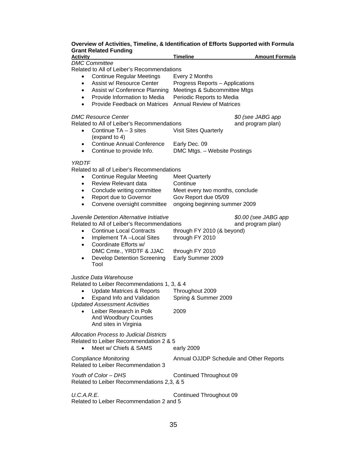## **Overview of Activities, Timeline, & Identification of Efforts Supported with Formula Grant Related Funding**

| וו ווטומנטט ו מוומוווק<br>Activity                                                                                                                                                                                                                                                                           | <b>Timeline</b>                                                                                                                                    | <b>Amount Formula</b>                     |
|--------------------------------------------------------------------------------------------------------------------------------------------------------------------------------------------------------------------------------------------------------------------------------------------------------------|----------------------------------------------------------------------------------------------------------------------------------------------------|-------------------------------------------|
| <b>DMC Committee</b><br>Related to All of Leiber's Recommendations                                                                                                                                                                                                                                           |                                                                                                                                                    |                                           |
| <b>Continue Regular Meetings</b><br>$\bullet$<br>Assist w/ Resource Center<br>$\bullet$<br>Assist w/ Conference Planning<br>$\bullet$<br>Provide Information to Media<br>$\bullet$<br><b>Provide Feedback on Matrices</b><br>$\bullet$                                                                       | Every 2 Months<br>Progress Reports - Applications<br>Meetings & Subcommittee Mtgs<br>Periodic Reports to Media<br><b>Annual Review of Matrices</b> |                                           |
| <b>DMC Resource Center</b><br>Related to All of Leiber's Recommendations<br>Continue $TA - 3$ sites<br>$\bullet$<br>(expand to 4)<br><b>Continue Annual Conference</b><br>$\bullet$                                                                                                                          | <b>Visit Sites Quarterly</b><br>Early Dec. 09                                                                                                      | \$0 (see JABG app<br>and program plan)    |
| Continue to provide Info.<br>$\bullet$                                                                                                                                                                                                                                                                       | DMC Mtgs. - Website Postings                                                                                                                       |                                           |
| <b>YRDTF</b><br>Related to all of Leiber's Recommendations<br><b>Continue Regular Meeting</b><br>$\bullet$<br>Review Relevant data<br>$\bullet$<br>Conclude writing committee<br>$\bullet$<br>Report due to Governor<br>$\bullet$<br>Convene oversight committee<br>$\bullet$                                | <b>Meet Quarterly</b><br>Continue<br>Meet every two months, conclude<br>Gov Report due 05/09<br>ongoing beginning summer 2009                      |                                           |
| Juvenile Detention Alternative Initiative<br>Related to All of Leiber's Recommendations<br><b>Continue Local Contracts</b><br>$\bullet$<br>Implement TA-Local Sites<br>$\bullet$<br>Coordinate Efforts w/<br>$\bullet$<br>DMC Cmte., YRDTF & JJAC<br><b>Develop Detention Screening</b><br>$\bullet$<br>Tool | through FY 2010 (& beyond)<br>through FY 2010<br>through FY 2010<br>Early Summer 2009                                                              | \$0.00 (see JABG app<br>and program plan) |
| Justice Data Warehouse<br>Related to Leiber Recommendations 1, 3, & 4<br><b>Update Matrices &amp; Reports</b><br>$\bullet$<br>Expand Info and Validation<br><b>Updated Assessment Activities</b><br>Leiber Research in Polk<br>$\bullet$<br><b>And Woodbury Counties</b><br>And sites in Virginia            | Throughout 2009<br>Spring & Summer 2009<br>2009                                                                                                    |                                           |
| <b>Allocation Process to Judicial Districts</b><br>Related to Leiber Recommendation 2 & 5<br>Meet w/ Chiefs & SAMS<br>$\bullet$                                                                                                                                                                              | early 2009                                                                                                                                         |                                           |
| <b>Compliance Monitoring</b><br>Related to Leiber Recommendation 3                                                                                                                                                                                                                                           | Annual OJJDP Schedule and Other Reports                                                                                                            |                                           |
| Youth of Color - DHS<br>Related to Leiber Recommendations 2,3, & 5                                                                                                                                                                                                                                           | Continued Throughout 09                                                                                                                            |                                           |
| U.C.A.R.E.<br>Related to Leiber Recommendation 2 and 5                                                                                                                                                                                                                                                       | Continued Throughout 09                                                                                                                            |                                           |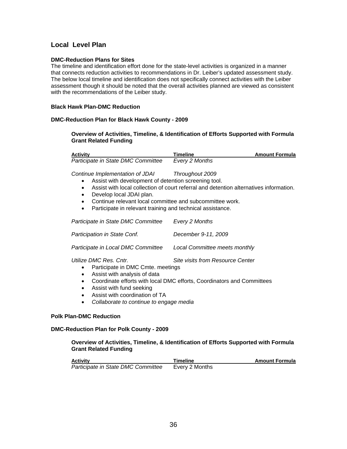## **Local Level Plan**

#### **DMC-Reduction Plans for Sites**

The timeline and identification effort done for the state-level activities is organized in a manner that connects reduction activities to recommendations in Dr. Leiber's updated assessment study. The below local timeline and identification does not specifically connect activities with the Leiber assessment though it should be noted that the overall activities planned are viewed as consistent with the recommendations of the Leiber study.

#### **Black Hawk Plan-DMC Reduction**

#### **DMC-Reduction Plan for Black Hawk County - 2009**

**Overview of Activities, Timeline, & Identification of Efforts Supported with Formula Grant Related Funding** 

| <b>Activity</b>                                                                                      | Timeline                                                                               | <b>Amount Formula</b> |
|------------------------------------------------------------------------------------------------------|----------------------------------------------------------------------------------------|-----------------------|
| Participate in State DMC Committee                                                                   | Every 2 Months                                                                         |                       |
| Continue Implementation of JDAI<br>Assist with development of detention screening tool.<br>$\bullet$ | Throughout 2009                                                                        |                       |
| $\bullet$<br>Develop local JDAI plan.<br>$\bullet$                                                   | Assist with local collection of court referral and detention alternatives information. |                       |
| Continue relevant local committee and subcommittee work.<br>$\bullet$                                |                                                                                        |                       |
| Participate in relevant training and technical assistance.<br>$\bullet$                              |                                                                                        |                       |
| Participate in State DMC Committee                                                                   | Every 2 Months                                                                         |                       |
| Participation in State Conf.                                                                         | December 9-11, 2009                                                                    |                       |

*Participate in Local DMC Committee Local Committee meets monthly* 

*Utilize DMC Res. Cntr. Site visits from Resource Center* 

- Participate in DMC Cmte. meetings
- Assist with analysis of data
- Coordinate efforts with local DMC efforts, Coordinators and Committees
- Assist with fund seeking
- Assist with coordination of TA
- *Collaborate to continue to engage media*

#### **Polk Plan-DMC Reduction**

#### **DMC-Reduction Plan for Polk County - 2009**

#### **Overview of Activities, Timeline, & Identification of Efforts Supported with Formula Grant Related Funding**

| Activitv                           | <b>Timeline</b> | <b>Amount Formula</b> |
|------------------------------------|-----------------|-----------------------|
| Participate in State DMC Committee | Every 2 Months  |                       |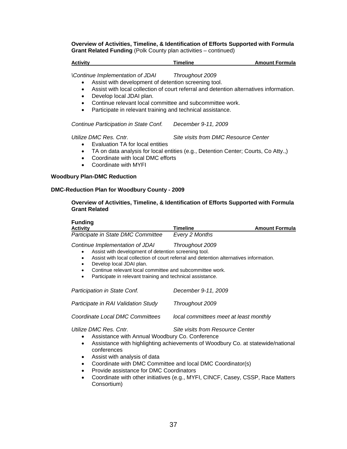**Overview of Activities, Timeline, & Identification of Efforts Supported with Formula Grant Related Funding** (Polk County plan activities – continued)

#### **Activity Amount Formula 19 Timeline Amount Formula Amount Formula**

*\Continue Implementation of JDAI Throughout 2009* 

- Assist with development of detention screening tool.
- Assist with local collection of court referral and detention alternatives information.
- Develop local JDAI plan.
- Continue relevant local committee and subcommittee work.
- Participate in relevant training and technical assistance.

 *Continue Participation in State Conf. December 9-11, 2009* 

*Utilize DMC Res. Cntr. Site visits from DMC Resource Center* 

- Evaluation TA for local entities
- TA on data analysis for local entities (e.g., Detention Center; Courts, Co Atty.,)
- Coordinate with local DMC efforts
- Coordinate with MYFI

#### **Woodbury Plan-DMC Reduction**

#### **DMC-Reduction Plan for Woodbury County - 2009**

#### **Overview of Activities, Timeline, & Identification of Efforts Supported with Formula Grant Related**

| <b>Funding</b><br><b>Activity</b>                                                                                                                                                                                                                                                                                                                         | Timeline                                | <b>Amount Formula</b> |
|-----------------------------------------------------------------------------------------------------------------------------------------------------------------------------------------------------------------------------------------------------------------------------------------------------------------------------------------------------------|-----------------------------------------|-----------------------|
| Participate in State DMC Committee                                                                                                                                                                                                                                                                                                                        | Every 2 Months                          |                       |
| Continue Implementation of JDAI<br>Assist with development of detention screening tool.<br>Assist with local collection of court referral and detention alternatives information.<br>Develop local JDAI plan.<br>٠<br>Continue relevant local committee and subcommittee work.<br>Participate in relevant training and technical assistance.<br>$\bullet$ | Throughout 2009                         |                       |
| Participation in State Conf.                                                                                                                                                                                                                                                                                                                              | December 9-11, 2009                     |                       |
| Participate in RAI Validation Study                                                                                                                                                                                                                                                                                                                       | Throughout 2009                         |                       |
| Coordinate Local DMC Committees                                                                                                                                                                                                                                                                                                                           | local committees meet at least monthly  |                       |
| Utilize DMC Res. Cntr.<br>Assistance with Annual Woodbury Co. Conference<br>$\bullet$<br>Assistance with highlighting achievements of Woodbury Co. at statewide/national<br>$\bullet$<br>conferences<br>Assist with analysis of data<br>$\bullet$<br>Coordinate with DMC Committee and local DMC Coordinator(s)<br>$\bullet$                              | <b>Site visits from Resource Center</b> |                       |

- Provide assistance for DMC Coordinators
- Coordinate with other initiatives (e.g., MYFI, CINCF, Casey, CSSP, Race Matters Consortium)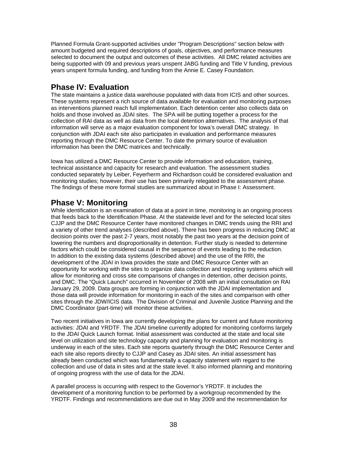Planned Formula Grant-supported activities under "Program Descriptions" section below with amount budgeted and required descriptions of goals, objectives, and performance measures selected to document the output and outcomes of these activities. All DMC related activities are being supported with 09 and previous years unspent JABG funding and Title V funding, previous years unspent formula funding, and funding from the Annie E. Casey Foundation.

# **Phase IV: Evaluation**

The state maintains a justice data warehouse populated with data from ICIS and other sources. These systems represent a rich source of data available for evaluation and monitoring purposes as interventions planned reach full implementation. Each detention center also collects data on holds and those involved as JDAI sites. The SPA will be putting together a process for the collection of RAI data as well as data from the local detention alternatives. The analysis of that information will serve as a major evaluation component for Iowa's overall DMC strategy. In conjunction with JDAI each site also participates in evaluation and performance measures reporting through the DMC Resource Center. To date the primary source of evaluation information has been the DMC matrices and technically.

Iowa has utilized a DMC Resource Center to provide information and education, training, technical assistance and capacity for research and evaluation. The assessment studies conducted separately by Leiber, Feyerherm and Richardson could be considered evaluation and monitoring studies; however, their use has been primarily relegated to the assessment phase. The findings of these more formal studies are summarized about in Phase I: Assessment.

# **Phase V: Monitoring**

While identification is an examination of data at a point in time, monitoring is an ongoing process that feeds back to the Identification Phase. At the statewide level and for the selected local sites CJJP and the DMC Resource Center have monitored changes in DMC trends using the RRI and a variety of other trend analyses (described above). There has been progress in reducing DMC at decision points over the past 2-7 years, most notably the past two years at the decision point of lowering the numbers and disproportionality in detention. Further study is needed to determine factors which could be considered causal in the sequence of events leading to the reduction. In addition to the existing data systems (described above) and the use of the RRI, the development of the JDAI in Iowa provides the state and DMC Resource Center with an opportunity for working with the sites to organize data collection and reporting systems which will allow for monitoring and cross site comparisons of changes in detention, other decision points, and DMC. The "Quick Launch" occurred in November of 2008 with an initial consultation on RAI January 29, 2009. Data groups are forming in conjunction with the JDAI implementation and those data will provide information for monitoring in each of the sites and comparison with other sites through the JDW/ICIS data. The Division of Criminal and Juvenile Justice Planning and the DMC Coordinator (part-time) will monitor these activities.

Two recent initiatives in Iowa are currently developing the plans for current and future monitoring activities: JDAI and YRDTF. The JDAI timeline currently adopted for monitoring conforms largely to the JDAI Quick Launch format. Initial assessment was conducted at the state and local site level on utilization and site technology capacity and planning for evaluation and monitoring is underway in each of the sites. Each site reports quarterly through the DMC Resource Center and each site also reports directly to CJJP and Casey as JDAI sites. An initial assessment has already been conducted which was fundamentally a capacity statement with regard to the collection and use of data in sites and at the state level. It also informed planning and monitoring of ongoing progress with the use of data for the JDAI.

A parallel process is occurring with respect to the Governor's YRDTF. It includes the development of a monitoring function to be performed by a workgroup recommended by the YRDTF. Findings and recommendations are due out in May 2009 and the recommendation for